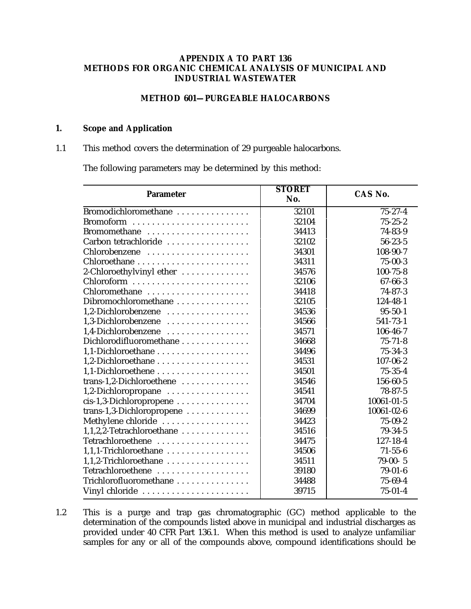### **APPENDIX A TO PART 136 METHODS FOR ORGANIC CHEMICAL ANALYSIS OF MUNICIPAL AND INDUSTRIAL WASTEWATER**

## **METHOD 601—PURGEABLE HALOCARBONS**

#### **1. Scope and Application**

## 1.1 This method covers the determination of 29 purgeable halocarbons.

The following parameters may be determined by this method:

| <b>Parameter</b>          | <b>STORET</b> | CAS No.        |  |
|---------------------------|---------------|----------------|--|
|                           | No.           |                |  |
| Bromodichloromethane      | 32101         | $75 - 27 - 4$  |  |
|                           | 32104         | $75 - 25 - 2$  |  |
| Bromomethane              | 34413         | 74-83-9        |  |
| Carbon tetrachloride      | 32102         | $56 - 23 - 5$  |  |
| Chlorobenzene             | 34301         | 108-90-7       |  |
|                           | 34311         | $75 - 00 - 3$  |  |
| 2-Chloroethylvinyl ether  | 34576         | $100 - 75 - 8$ |  |
|                           | 32106         | 67-66-3        |  |
| Chloromethane             | 34418         | $74 - 87 - 3$  |  |
| Dibromochloromethane      | 32105         | 124-48-1       |  |
| 1,2-Dichlorobenzene       | 34536         | $95 - 50 - 1$  |  |
| 1,3-Dichlorobenzene       | 34566         | 541-73-1       |  |
| 1,4-Dichlorobenzene       | 34571         | 106-46-7       |  |
| Dichlorodifluoromethane   | 34668         | $75 - 71 - 8$  |  |
|                           | 34496         | $75 - 34 - 3$  |  |
|                           | 34531         | $107 - 06 - 2$ |  |
|                           | 34501         | $75 - 35 - 4$  |  |
| trans-1,2-Dichloroethene  | 34546         | 156-60-5       |  |
| 1,2-Dichloropropane       | 34541         | $78 - 87 - 5$  |  |
| cis-1,3-Dichloropropene   | 34704         | 10061-01-5     |  |
| trans-1,3-Dichloropropene | 34699         | 10061-02-6     |  |
| Methylene chloride        | 34423         | $75 - 09 - 2$  |  |
| 1,1,2,2-Tetrachloroethane | 34516         | 79-34-5        |  |
| Tetrachloroethene         | 34475         | $127 - 18 - 4$ |  |
| 1,1,1-Trichloroethane     | 34506         | $71 - 55 - 6$  |  |
| 1,1,2-Trichloroethane     | 34511         | $79-00-5$      |  |
| Tetrachloroethene         | 39180         | $79-01-6$      |  |
| Trichlorofluoromethane    | 34488         | 75-69-4        |  |
| Vinyl chloride            | 39715         | $75 - 01 - 4$  |  |

1.2 This is a purge and trap gas chromatographic (GC) method applicable to the determination of the compounds listed above in municipal and industrial discharges as provided under 40 CFR Part 136.1. When this method is used to analyze unfamiliar samples for any or all of the compounds above, compound identifications should be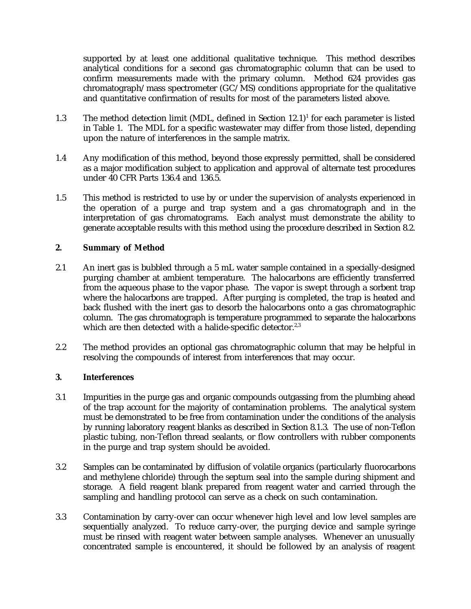supported by at least one additional qualitative technique. This method describes analytical conditions for a second gas chromatographic column that can be used to confirm measurements made with the primary column. Method 624 provides gas chromatograph/mass spectrometer (GC/MS) conditions appropriate for the qualitative and quantitative confirmation of results for most of the parameters listed above.

- 1.3 The method detection limit (MDL, defined in Section  $12.1$ )<sup>1</sup> for each parameter is listed in Table 1. The MDL for a specific wastewater may differ from those listed, depending upon the nature of interferences in the sample matrix.
- 1.4 Any modification of this method, beyond those expressly permitted, shall be considered as a major modification subject to application and approval of alternate test procedures under 40 CFR Parts 136.4 and 136.5.
- 1.5 This method is restricted to use by or under the supervision of analysts experienced in the operation of a purge and trap system and a gas chromatograph and in the interpretation of gas chromatograms. Each analyst must demonstrate the ability to generate acceptable results with this method using the procedure described in Section 8.2.

# **2. Summary of Method**

- 2.1 An inert gas is bubbled through a 5 mL water sample contained in a specially-designed purging chamber at ambient temperature. The halocarbons are efficiently transferred from the aqueous phase to the vapor phase. The vapor is swept through a sorbent trap where the halocarbons are trapped. After purging is completed, the trap is heated and back flushed with the inert gas to desorb the halocarbons onto a gas chromatographic column. The gas chromatograph is temperature programmed to separate the halocarbons which are then detected with a halide-specific detector.<sup>2,3</sup>
- 2.2 The method provides an optional gas chromatographic column that may be helpful in resolving the compounds of interest from interferences that may occur.

## **3. Interferences**

- 3.1 Impurities in the purge gas and organic compounds outgassing from the plumbing ahead of the trap account for the majority of contamination problems. The analytical system must be demonstrated to be free from contamination under the conditions of the analysis by running laboratory reagent blanks as described in Section 8.1.3. The use of non-Teflon plastic tubing, non-Teflon thread sealants, or flow controllers with rubber components in the purge and trap system should be avoided.
- 3.2 Samples can be contaminated by diffusion of volatile organics (particularly fluorocarbons and methylene chloride) through the septum seal into the sample during shipment and storage. A field reagent blank prepared from reagent water and carried through the sampling and handling protocol can serve as a check on such contamination.
- 3.3 Contamination by carry-over can occur whenever high level and low level samples are sequentially analyzed. To reduce carry-over, the purging device and sample syringe must be rinsed with reagent water between sample analyses. Whenever an unusually concentrated sample is encountered, it should be followed by an analysis of reagent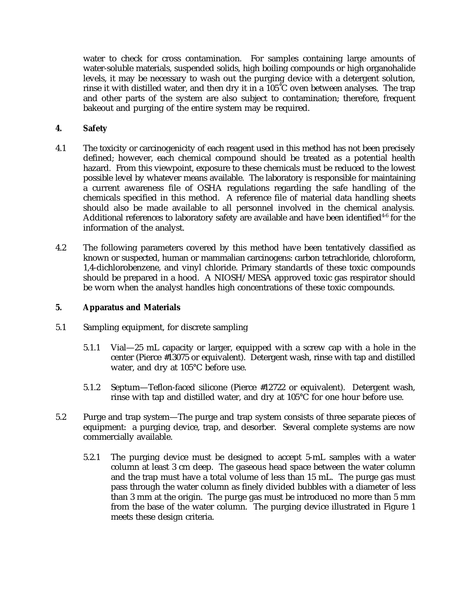water to check for cross contamination. For samples containing large amounts of water-soluble materials, suspended solids, high boiling compounds or high organohalide levels, it may be necessary to wash out the purging device with a detergent solution, rinse it with distilled water, and then dry it in a 105˚C oven between analyses. The trap and other parts of the system are also subject to contamination; therefore, frequent bakeout and purging of the entire system may be required.

## **4. Safety**

- 4.1 The toxicity or carcinogenicity of each reagent used in this method has not been precisely defined; however, each chemical compound should be treated as a potential health hazard. From this viewpoint, exposure to these chemicals must be reduced to the lowest possible level by whatever means available. The laboratory is responsible for maintaining a current awareness file of OSHA regulations regarding the safe handling of the chemicals specified in this method. A reference file of material data handling sheets should also be made available to all personnel involved in the chemical analysis. Additional references to laboratory safety are available and have been identified<sup>46</sup> for the information of the analyst.
- 4.2 The following parameters covered by this method have been tentatively classified as known or suspected, human or mammalian carcinogens: carbon tetrachloride, chloroform, 1,4-dichlorobenzene, and vinyl chloride. Primary standards of these toxic compounds should be prepared in a hood. A NIOSH/MESA approved toxic gas respirator should be worn when the analyst handles high concentrations of these toxic compounds.

### **5. Apparatus and Materials**

- 5.1 Sampling equipment, for discrete sampling
	- 5.1.1 Vial—25 mL capacity or larger, equipped with a screw cap with a hole in the center (Pierce #13075 or equivalent). Detergent wash, rinse with tap and distilled water, and dry at 105°C before use.
	- 5.1.2 Septum—Teflon-faced silicone (Pierce #12722 or equivalent). Detergent wash, rinse with tap and distilled water, and dry at 105°C for one hour before use.
- 5.2 Purge and trap system—The purge and trap system consists of three separate pieces of equipment: a purging device, trap, and desorber. Several complete systems are now commercially available.
	- 5.2.1 The purging device must be designed to accept 5-mL samples with a water column at least 3 cm deep. The gaseous head space between the water column and the trap must have a total volume of less than 15 mL. The purge gas must pass through the water column as finely divided bubbles with a diameter of less than 3 mm at the origin. The purge gas must be introduced no more than 5 mm from the base of the water column. The purging device illustrated in Figure 1 meets these design criteria.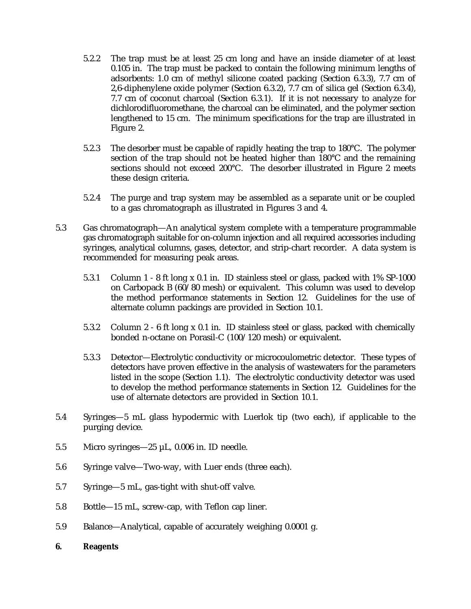- 5.2.2 The trap must be at least 25 cm long and have an inside diameter of at least 0.105 in. The trap must be packed to contain the following minimum lengths of adsorbents: 1.0 cm of methyl silicone coated packing (Section 6.3.3), 7.7 cm of 2,6-diphenylene oxide polymer (Section 6.3.2), 7.7 cm of silica gel (Section 6.3.4), 7.7 cm of coconut charcoal (Section 6.3.1). If it is not necessary to analyze for dichlorodifluoromethane, the charcoal can be eliminated, and the polymer section lengthened to 15 cm. The minimum specifications for the trap are illustrated in Figure 2.
- 5.2.3 The desorber must be capable of rapidly heating the trap to 180°C. The polymer section of the trap should not be heated higher than 180°C and the remaining sections should not exceed 200°C. The desorber illustrated in Figure 2 meets these design criteria.
- 5.2.4 The purge and trap system may be assembled as a separate unit or be coupled to a gas chromatograph as illustrated in Figures 3 and 4.
- 5.3 Gas chromatograph—An analytical system complete with a temperature programmable gas chromatograph suitable for on-column injection and all required accessories including syringes, analytical columns, gases, detector, and strip-chart recorder. A data system is recommended for measuring peak areas.
	- 5.3.1 Column 1 8 ft long x 0.1 in. ID stainless steel or glass, packed with 1% SP-1000 on Carbopack B (60/80 mesh) or equivalent. This column was used to develop the method performance statements in Section 12. Guidelines for the use of alternate column packings are provided in Section 10.1.
	- 5.3.2 Column 2 6 ft long x 0.1 in. ID stainless steel or glass, packed with chemically bonded n-octane on Porasil-C (100/120 mesh) or equivalent.
	- 5.3.3 Detector—Electrolytic conductivity or microcoulometric detector. These types of detectors have proven effective in the analysis of wastewaters for the parameters listed in the scope (Section 1.1). The electrolytic conductivity detector was used to develop the method performance statements in Section 12. Guidelines for the use of alternate detectors are provided in Section 10.1.
- 5.4 Syringes—5 mL glass hypodermic with Luerlok tip (two each), if applicable to the purging device.
- 5.5 Micro syringes—25 µL, 0.006 in. ID needle.
- 5.6 Syringe valve—Two-way, with Luer ends (three each).
- 5.7 Syringe—5 mL, gas-tight with shut-off valve.
- 5.8 Bottle—15 mL, screw-cap, with Teflon cap liner.
- 5.9 Balance—Analytical, capable of accurately weighing 0.0001 g.
- **6. Reagents**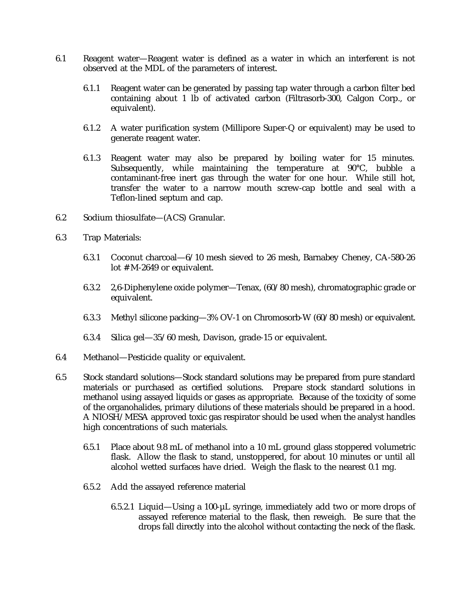- 6.1 Reagent water—Reagent water is defined as a water in which an interferent is not observed at the MDL of the parameters of interest.
	- 6.1.1 Reagent water can be generated by passing tap water through a carbon filter bed containing about 1 lb of activated carbon (Filtrasorb-300, Calgon Corp., or equivalent).
	- 6.1.2 A water purification system (Millipore Super-Q or equivalent) may be used to generate reagent water.
	- 6.1.3 Reagent water may also be prepared by boiling water for 15 minutes. Subsequently, while maintaining the temperature at 90°C, bubble a contaminant-free inert gas through the water for one hour. While still hot, transfer the water to a narrow mouth screw-cap bottle and seal with a Teflon-lined septum and cap.
- 6.2 Sodium thiosulfate—(ACS) Granular.
- 6.3 Trap Materials:
	- 6.3.1 Coconut charcoal—6/10 mesh sieved to 26 mesh, Barnabey Cheney, CA-580-26 lot # M-2649 or equivalent.
	- 6.3.2 2,6-Diphenylene oxide polymer—Tenax, (60/80 mesh), chromatographic grade or equivalent.
	- 6.3.3 Methyl silicone packing—3% OV-1 on Chromosorb-W (60/80 mesh) or equivalent.
	- 6.3.4 Silica gel—35/60 mesh, Davison, grade-15 or equivalent.
- 6.4 Methanol—Pesticide quality or equivalent.
- 6.5 Stock standard solutions—Stock standard solutions may be prepared from pure standard materials or purchased as certified solutions. Prepare stock standard solutions in methanol using assayed liquids or gases as appropriate. Because of the toxicity of some of the organohalides, primary dilutions of these materials should be prepared in a hood. A NIOSH/MESA approved toxic gas respirator should be used when the analyst handles high concentrations of such materials.
	- 6.5.1 Place about 9.8 mL of methanol into a 10 mL ground glass stoppered volumetric flask. Allow the flask to stand, unstoppered, for about 10 minutes or until all alcohol wetted surfaces have dried. Weigh the flask to the nearest 0.1 mg.
	- 6.5.2 Add the assayed reference material
		- 6.5.2.1 Liquid—Using a 100-µL syringe, immediately add two or more drops of assayed reference material to the flask, then reweigh. Be sure that the drops fall directly into the alcohol without contacting the neck of the flask.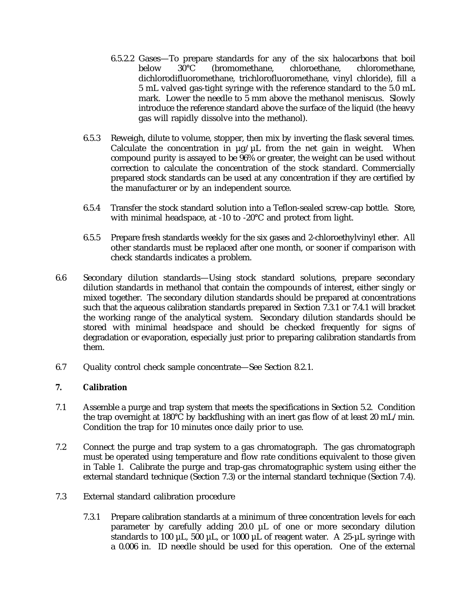- 6.5.2.2 Gases—To prepare standards for any of the six halocarbons that boil<br>below  $30^{\circ}$ C (bromomethane, chloroethane, chloromethane, below 30°C (bromomethane, chloroethane, chloromethane, dichlorodifluoromethane, trichlorofluoromethane, vinyl chloride), fill a 5 mL valved gas-tight syringe with the reference standard to the 5.0 mL mark. Lower the needle to 5 mm above the methanol meniscus. Slowly introduce the reference standard above the surface of the liquid (the heavy gas will rapidly dissolve into the methanol).
- 6.5.3 Reweigh, dilute to volume, stopper, then mix by inverting the flask several times. Calculate the concentration in  $\mu$ g/ $\mu$ L from the net gain in weight. When compound purity is assayed to be 96% or greater, the weight can be used without correction to calculate the concentration of the stock standard. Commercially prepared stock standards can be used at any concentration if they are certified by the manufacturer or by an independent source.
- 6.5.4 Transfer the stock standard solution into a Teflon-sealed screw-cap bottle. Store, with minimal headspace, at -10 to -20°C and protect from light.
- 6.5.5 Prepare fresh standards weekly for the six gases and 2-chloroethylvinyl ether. All other standards must be replaced after one month, or sooner if comparison with check standards indicates a problem.
- 6.6 Secondary dilution standards—Using stock standard solutions, prepare secondary dilution standards in methanol that contain the compounds of interest, either singly or mixed together. The secondary dilution standards should be prepared at concentrations such that the aqueous calibration standards prepared in Section 7.3.1 or 7.4.1 will bracket the working range of the analytical system. Secondary dilution standards should be stored with minimal headspace and should be checked frequently for signs of degradation or evaporation, especially just prior to preparing calibration standards from them.
- 6.7 Quality control check sample concentrate—See Section 8.2.1.

# **7. Calibration**

- 7.1 Assemble a purge and trap system that meets the specifications in Section 5.2. Condition the trap overnight at 180°C by backflushing with an inert gas flow of at least 20 mL/min. Condition the trap for 10 minutes once daily prior to use.
- 7.2 Connect the purge and trap system to a gas chromatograph. The gas chromatograph must be operated using temperature and flow rate conditions equivalent to those given in Table 1. Calibrate the purge and trap-gas chromatographic system using either the external standard technique (Section 7.3) or the internal standard technique (Section 7.4).
- 7.3 External standard calibration procedure
	- 7.3.1 Prepare calibration standards at a minimum of three concentration levels for each parameter by carefully adding 20.0 µL of one or more secondary dilution standards to 100  $\mu$ L, 500  $\mu$ L, or 1000  $\mu$ L of reagent water. A 25- $\mu$ L syringe with a 0.006 in. ID needle should be used for this operation. One of the external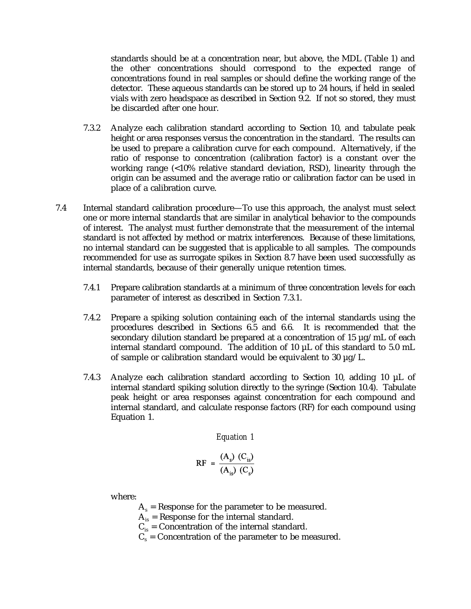standards should be at a concentration near, but above, the MDL (Table 1) and the other concentrations should correspond to the expected range of concentrations found in real samples or should define the working range of the detector. These aqueous standards can be stored up to 24 hours, if held in sealed vials with zero headspace as described in Section 9.2. If not so stored, they must be discarded after one hour.

- 7.3.2 Analyze each calibration standard according to Section 10, and tabulate peak height or area responses versus the concentration in the standard. The results can be used to prepare a calibration curve for each compound. Alternatively, if the ratio of response to concentration (calibration factor) is a constant over the working range (<10% relative standard deviation, RSD), linearity through the origin can be assumed and the average ratio or calibration factor can be used in place of a calibration curve.
- 7.4 Internal standard calibration procedure—To use this approach, the analyst must select one or more internal standards that are similar in analytical behavior to the compounds of interest. The analyst must further demonstrate that the measurement of the internal standard is not affected by method or matrix interferences. Because of these limitations, no internal standard can be suggested that is applicable to all samples. The compounds recommended for use as surrogate spikes in Section 8.7 have been used successfully as internal standards, because of their generally unique retention times.
	- 7.4.1 Prepare calibration standards at a minimum of three concentration levels for each parameter of interest as described in Section 7.3.1.
	- 7.4.2 Prepare a spiking solution containing each of the internal standards using the procedures described in Sections 6.5 and 6.6. It is recommended that the secondary dilution standard be prepared at a concentration of 15 µg/mL of each internal standard compound. The addition of 10 µL of this standard to 5.0 mL of sample or calibration standard would be equivalent to 30  $\mu$ g/L.
	- 7.4.3 Analyze each calibration standard according to Section 10, adding 10 µL of internal standard spiking solution directly to the syringe (Section 10.4). Tabulate peak height or area responses against concentration for each compound and internal standard, and calculate response factors (RF) for each compound using Equation 1.

*Equation 1*

$$
RF = \frac{(A_s) (C_{is})}{(A_{is}) (C_s)}
$$

where:

- $A_s$  = Response for the parameter to be measured.
- $A_{is}$  = Response for the internal standard.
- $C_{is}$  = Concentration of the internal standard.
- $C_s$  = Concentration of the parameter to be measured.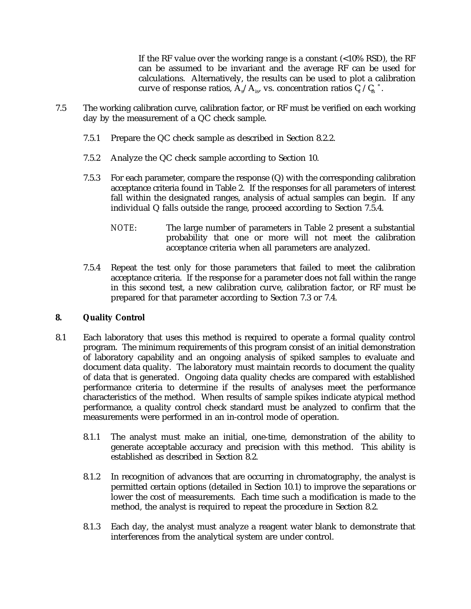If the RF value over the working range is a constant  $\left($  <10% RSD), the RF can be assumed to be invariant and the average RF can be used for calculations. Alternatively, the results can be used to plot a calibration curve of response ratios,  $\rm A_s/A_{is}$ , vs. concentration ratios  $\rm C_s$  / $\rm C_s$   $\hbox{^*}.$ 

- 7.5 The working calibration curve, calibration factor, or RF must be verified on each working day by the measurement of a QC check sample.
	- 7.5.1 Prepare the QC check sample as described in Section 8.2.2.
	- 7.5.2 Analyze the QC check sample according to Section 10.
	- 7.5.3 For each parameter, compare the response (Q) with the corresponding calibration acceptance criteria found in Table 2. If the responses for all parameters of interest fall within the designated ranges, analysis of actual samples can begin. If any individual Q falls outside the range, proceed according to Section 7.5.4.
		- *NOTE*: The large number of parameters in Table 2 present a substantial probability that one or more will not meet the calibration acceptance criteria when all parameters are analyzed.
	- 7.5.4 Repeat the test only for those parameters that failed to meet the calibration acceptance criteria. If the response for a parameter does not fall within the range in this second test, a new calibration curve, calibration factor, or RF must be prepared for that parameter according to Section 7.3 or 7.4.

### **8. Quality Control**

- 8.1 Each laboratory that uses this method is required to operate a formal quality control program. The minimum requirements of this program consist of an initial demonstration of laboratory capability and an ongoing analysis of spiked samples to evaluate and document data quality. The laboratory must maintain records to document the quality of data that is generated. Ongoing data quality checks are compared with established performance criteria to determine if the results of analyses meet the performance characteristics of the method. When results of sample spikes indicate atypical method performance, a quality control check standard must be analyzed to confirm that the measurements were performed in an in-control mode of operation.
	- 8.1.1 The analyst must make an initial, one-time, demonstration of the ability to generate acceptable accuracy and precision with this method. This ability is established as described in Section 8.2.
	- 8.1.2 In recognition of advances that are occurring in chromatography, the analyst is permitted certain options (detailed in Section 10.1) to improve the separations or lower the cost of measurements. Each time such a modification is made to the method, the analyst is required to repeat the procedure in Section 8.2.
	- 8.1.3 Each day, the analyst must analyze a reagent water blank to demonstrate that interferences from the analytical system are under control.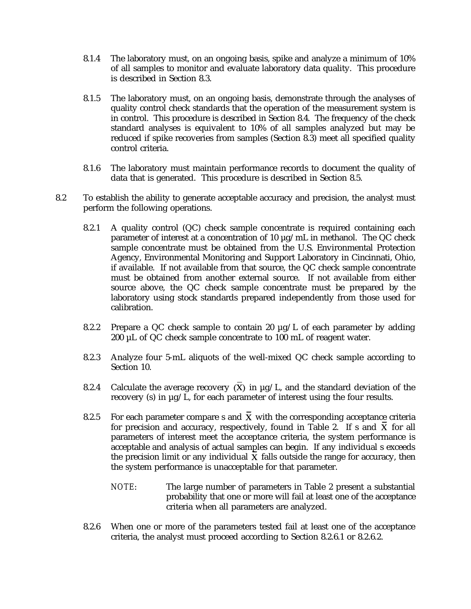- 8.1.4 The laboratory must, on an ongoing basis, spike and analyze a minimum of 10% of all samples to monitor and evaluate laboratory data quality. This procedure is described in Section 8.3.
- 8.1.5 The laboratory must, on an ongoing basis, demonstrate through the analyses of quality control check standards that the operation of the measurement system is in control. This procedure is described in Section 8.4. The frequency of the check standard analyses is equivalent to 10% of all samples analyzed but may be reduced if spike recoveries from samples (Section 8.3) meet all specified quality control criteria.
- 8.1.6 The laboratory must maintain performance records to document the quality of data that is generated. This procedure is described in Section 8.5.
- 8.2 To establish the ability to generate acceptable accuracy and precision, the analyst must perform the following operations.
	- 8.2.1 A quality control (QC) check sample concentrate is required containing each parameter of interest at a concentration of 10  $\mu$ g/mL in methanol. The QC check sample concentrate must be obtained from the U.S. Environmental Protection Agency, Environmental Monitoring and Support Laboratory in Cincinnati, Ohio, if available. If not available from that source, the QC check sample concentrate must be obtained from another external source. If not available from either source above, the QC check sample concentrate must be prepared by the laboratory using stock standards prepared independently from those used for calibration.
	- 8.2.2 Prepare a QC check sample to contain 20  $\mu$ g/L of each parameter by adding 200 µL of QC check sample concentrate to 100 mL of reagent water.
	- 8.2.3 Analyze four 5-mL aliquots of the well-mixed QC check sample according to Section 10.
	- 8.2.4 Calculate the average recovery  $(X)$  in  $\mu$ g/L, and the standard deviation of the recovery (s) in µg/L, for each parameter of interest using the four results.
	- 8.2.5 For each parameter compare s and  $\overline{X}$  with the corresponding acceptance criteria for precision and accuracy, respectively, found in Table 2. If s and  $\overline{X}$  for all parameters of interest meet the acceptance criteria, the system performance is acceptable and analysis of actual samples can begin. If any individual s exceeds the precision limit or any individual  $X$  falls outside the range for accuracy, then the system performance is unacceptable for that parameter.
		- *NOTE*: The large number of parameters in Table 2 present a substantial probability that one or more will fail at least one of the acceptance criteria when all parameters are analyzed.
	- 8.2.6 When one or more of the parameters tested fail at least one of the acceptance criteria, the analyst must proceed according to Section 8.2.6.1 or 8.2.6.2.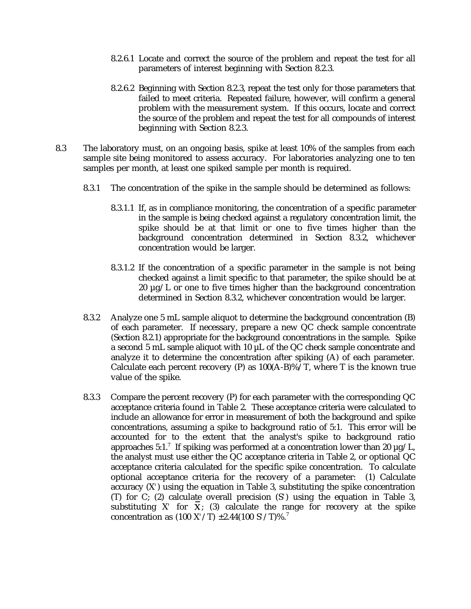- 8.2.6.1 Locate and correct the source of the problem and repeat the test for all parameters of interest beginning with Section 8.2.3.
- 8.2.6.2 Beginning with Section 8.2.3, repeat the test only for those parameters that failed to meet criteria. Repeated failure, however, will confirm a general problem with the measurement system. If this occurs, locate and correct the source of the problem and repeat the test for all compounds of interest beginning with Section 8.2.3.
- 8.3 The laboratory must, on an ongoing basis, spike at least 10% of the samples from each sample site being monitored to assess accuracy. For laboratories analyzing one to ten samples per month, at least one spiked sample per month is required.
	- 8.3.1 The concentration of the spike in the sample should be determined as follows:
		- 8.3.1.1 If, as in compliance monitoring, the concentration of a specific parameter in the sample is being checked against a regulatory concentration limit, the spike should be at that limit or one to five times higher than the background concentration determined in Section 8.3.2, whichever concentration would be larger.
		- 8.3.1.2 If the concentration of a specific parameter in the sample is not being checked against a limit specific to that parameter, the spike should be at  $20 \mu g/L$  or one to five times higher than the background concentration determined in Section 8.3.2, whichever concentration would be larger.
	- 8.3.2 Analyze one 5 mL sample aliquot to determine the background concentration (B) of each parameter. If necessary, prepare a new QC check sample concentrate (Section 8.2.1) appropriate for the background concentrations in the sample. Spike a second 5 mL sample aliquot with 10 µL of the QC check sample concentrate and analyze it to determine the concentration after spiking (A) of each parameter. Calculate each percent recovery (P) as  $100(A-B)\%$ /T, where T is the known true value of the spike.
	- 8.3.3 Compare the percent recovery (P) for each parameter with the corresponding QC acceptance criteria found in Table 2. These acceptance criteria were calculated to include an allowance for error in measurement of both the background and spike concentrations, assuming a spike to background ratio of 5:1. This error will be accounted for to the extent that the analyst's spike to background ratio approaches 5:1.<sup>7</sup> If spiking was performed at a concentration lower than 20  $\mu$ g/L, the analyst must use either the QC acceptance criteria in Table 2, or optional QC acceptance criteria calculated for the specific spike concentration. To calculate optional acceptance criteria for the recovery of a parameter: (1) Calculate accuracy (X*'*) using the equation in Table 3, substituting the spike concentration (T) for C; (2) calculate overall precision (S*'*) using the equation in Table 3, substituting  $X'$  for  $X$ ; (3) calculate the range for recovery at the spike concentration as (100 X*'*/T) ±2.44(100 S*'*/T)%.<sup>7</sup>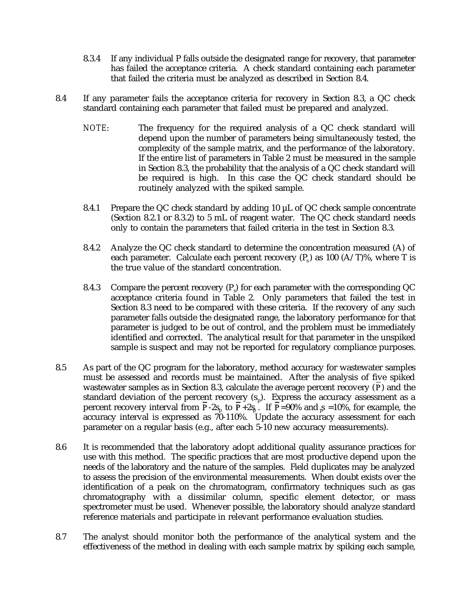- 8.3.4 If any individual P falls outside the designated range for recovery, that parameter has failed the acceptance criteria. A check standard containing each parameter that failed the criteria must be analyzed as described in Section 8.4.
- 8.4 If any parameter fails the acceptance criteria for recovery in Section 8.3, a QC check standard containing each parameter that failed must be prepared and analyzed.
	- *NOTE*: The frequency for the required analysis of a QC check standard will depend upon the number of parameters being simultaneously tested, the complexity of the sample matrix, and the performance of the laboratory. If the entire list of parameters in Table 2 must be measured in the sample in Section 8.3, the probability that the analysis of a QC check standard will be required is high. In this case the QC check standard should be routinely analyzed with the spiked sample.
	- 8.4.1 Prepare the QC check standard by adding 10  $\mu$ L of QC check sample concentrate (Section 8.2.1 or 8.3.2) to 5 mL of reagent water. The QC check standard needs only to contain the parameters that failed criteria in the test in Section 8.3.
	- 8.4.2 Analyze the QC check standard to determine the concentration measured (A) of each parameter. Calculate each percent recovery  $(P_s)$  as 100 (A/T)%, where T is the true value of the standard concentration.
	- 8.4.3 Compare the percent recovery  $(P)$  for each parameter with the corresponding QC acceptance criteria found in Table 2. Only parameters that failed the test in Section 8.3 need to be compared with these criteria. If the recovery of any such parameter falls outside the designated range, the laboratory performance for that parameter is judged to be out of control, and the problem must be immediately identified and corrected. The analytical result for that parameter in the unspiked sample is suspect and may not be reported for regulatory compliance purposes.
- 8.5 As part of the QC program for the laboratory, method accuracy for wastewater samples must be assessed and records must be maintained. After the analysis of five spiked wastewater samples as in Section 8.3, calculate the average percent recovery  $(P)$  and the standard deviation of the percent recovery  $(s_p)$ . Express the accuracy assessment as a percent recovery interval from **P**-2s<sub>p</sub> to **P**+2s<sub>p</sub> . If **P**=90% and  ${}_{p}$  =10%, for example, the accuracy interval is expressed as 70-110%. Update the accuracy assessment for each parameter on a regular basis (e.g., after each 5-10 new accuracy measurements).
- 8.6 It is recommended that the laboratory adopt additional quality assurance practices for use with this method. The specific practices that are most productive depend upon the needs of the laboratory and the nature of the samples. Field duplicates may be analyzed to assess the precision of the environmental measurements. When doubt exists over the identification of a peak on the chromatogram, confirmatory techniques such as gas chromatography with a dissimilar column, specific element detector, or mass spectrometer must be used. Whenever possible, the laboratory should analyze standard reference materials and participate in relevant performance evaluation studies.
- 8.7 The analyst should monitor both the performance of the analytical system and the effectiveness of the method in dealing with each sample matrix by spiking each sample,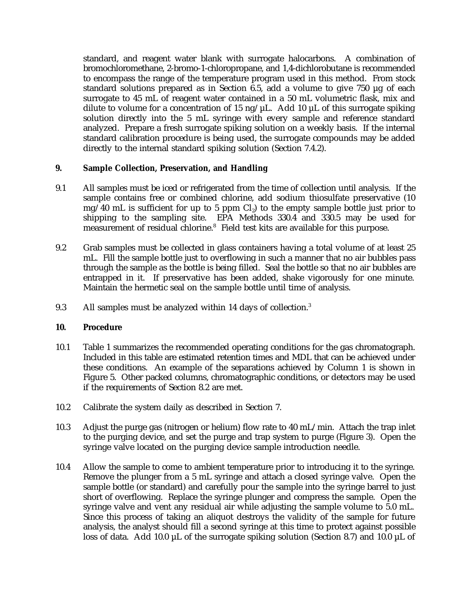standard, and reagent water blank with surrogate halocarbons. A combination of bromochloromethane, 2-bromo-1-chloropropane, and 1,4-dichlorobutane is recommended to encompass the range of the temperature program used in this method. From stock standard solutions prepared as in Section 6.5, add a volume to give 750 µg of each surrogate to 45 mL of reagent water contained in a 50 mL volumetric flask, mix and dilute to volume for a concentration of 15 ng/ $\mu$ L. Add 10  $\mu$ L of this surrogate spiking solution directly into the 5 mL syringe with every sample and reference standard analyzed. Prepare a fresh surrogate spiking solution on a weekly basis. If the internal standard calibration procedure is being used, the surrogate compounds may be added directly to the internal standard spiking solution (Section 7.4.2).

### **9. Sample Collection, Preservation, and Handling**

- 9.1 All samples must be iced or refrigerated from the time of collection until analysis. If the sample contains free or combined chlorine, add sodium thiosulfate preservative (10  $mg/40$  mL is sufficient for up to 5 ppm Cl<sub>2</sub>) to the empty sample bottle just prior to shipping to the sampling site. EPA Methods 330.4 and 330.5 may be used for measurement of residual chlorine.<sup>8</sup> Field test kits are available for this purpose.
- 9.2 Grab samples must be collected in glass containers having a total volume of at least 25 mL. Fill the sample bottle just to overflowing in such a manner that no air bubbles pass through the sample as the bottle is being filled. Seal the bottle so that no air bubbles are entrapped in it. If preservative has been added, shake vigorously for one minute. Maintain the hermetic seal on the sample bottle until time of analysis.
- 9.3 All samples must be analyzed within 14 days of collection.<sup>3</sup>

# **10. Procedure**

- 10.1 Table 1 summarizes the recommended operating conditions for the gas chromatograph. Included in this table are estimated retention times and MDL that can be achieved under these conditions. An example of the separations achieved by Column 1 is shown in Figure 5. Other packed columns, chromatographic conditions, or detectors may be used if the requirements of Section 8.2 are met.
- 10.2 Calibrate the system daily as described in Section 7.
- 10.3 Adjust the purge gas (nitrogen or helium) flow rate to 40 mL/min. Attach the trap inlet to the purging device, and set the purge and trap system to purge (Figure 3). Open the syringe valve located on the purging device sample introduction needle.
- 10.4 Allow the sample to come to ambient temperature prior to introducing it to the syringe. Remove the plunger from a 5 mL syringe and attach a closed syringe valve. Open the sample bottle (or standard) and carefully pour the sample into the syringe barrel to just short of overflowing. Replace the syringe plunger and compress the sample. Open the syringe valve and vent any residual air while adjusting the sample volume to 5.0 mL. Since this process of taking an aliquot destroys the validity of the sample for future analysis, the analyst should fill a second syringe at this time to protect against possible loss of data. Add 10.0 µL of the surrogate spiking solution (Section 8.7) and 10.0 µL of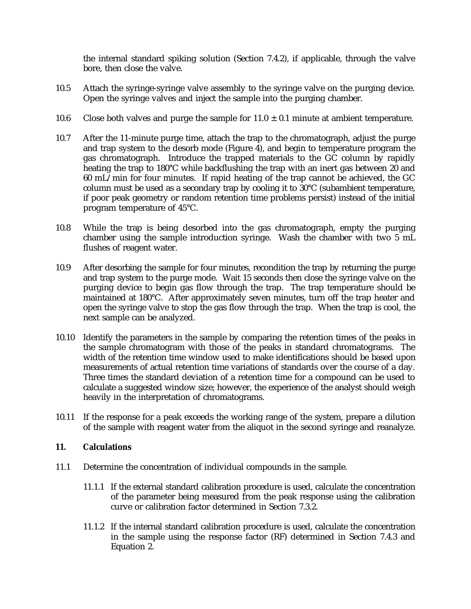the internal standard spiking solution (Section 7.4.2), if applicable, through the valve bore, then close the valve.

- 10.5 Attach the syringe-syringe valve assembly to the syringe valve on the purging device. Open the syringe valves and inject the sample into the purging chamber.
- 10.6 Close both valves and purge the sample for  $11.0 \pm 0.1$  minute at ambient temperature.
- 10.7 After the 11-minute purge time, attach the trap to the chromatograph, adjust the purge and trap system to the desorb mode (Figure 4), and begin to temperature program the gas chromatograph. Introduce the trapped materials to the GC column by rapidly heating the trap to 180°C while backflushing the trap with an inert gas between 20 and 60 mL/min for four minutes. If rapid heating of the trap cannot be achieved, the GC column must be used as a secondary trap by cooling it to 30°C (subambient temperature, if poor peak geometry or random retention time problems persist) instead of the initial program temperature of 45°C.
- 10.8 While the trap is being desorbed into the gas chromatograph, empty the purging chamber using the sample introduction syringe. Wash the chamber with two 5 mL flushes of reagent water.
- 10.9 After desorbing the sample for four minutes, recondition the trap by returning the purge and trap system to the purge mode. Wait 15 seconds then close the syringe valve on the purging device to begin gas flow through the trap. The trap temperature should be maintained at 180°C. After approximately seven minutes, turn off the trap heater and open the syringe valve to stop the gas flow through the trap. When the trap is cool, the next sample can be analyzed.
- 10.10 Identify the parameters in the sample by comparing the retention times of the peaks in the sample chromatogram with those of the peaks in standard chromatograms. The width of the retention time window used to make identifications should be based upon measurements of actual retention time variations of standards over the course of a day. Three times the standard deviation of a retention time for a compound can be used to calculate a suggested window size; however, the experience of the analyst should weigh heavily in the interpretation of chromatograms.
- 10.11 If the response for a peak exceeds the working range of the system, prepare a dilution of the sample with reagent water from the aliquot in the second syringe and reanalyze.

### **11. Calculations**

- 11.1 Determine the concentration of individual compounds in the sample.
	- 11.1.1 If the external standard calibration procedure is used, calculate the concentration of the parameter being measured from the peak response using the calibration curve or calibration factor determined in Section 7.3.2.
	- 11.1.2 If the internal standard calibration procedure is used, calculate the concentration in the sample using the response factor (RF) determined in Section 7.4.3 and Equation 2.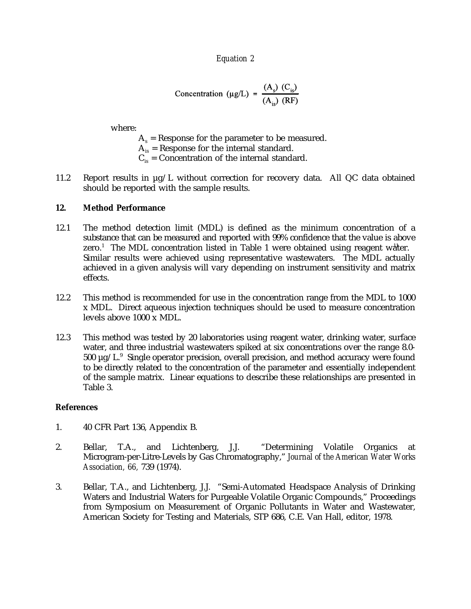*Equation 2*

Concentration (µg/L) = 
$$
\frac{(A_s) (C_{is})}{(A_{is}) (RF)}
$$

where:

- $A_s$  = Response for the parameter to be measured.
- $A_{is}$  = Response for the internal standard.
- $C_{iS}$  = Concentration of the internal standard.
- 11.2 Report results in µg/L without correction for recovery data. All QC data obtained should be reported with the sample results.

### **12. Method Performance**

- 12.1 The method detection limit (MDL) is defined as the minimum concentration of a substance that can be measured and reported with 99% confidence that the value is above zero.<sup>1</sup> The MDL concentration listed in Table 1 were obtained using reagent water. Similar results were achieved using representative wastewaters. The MDL actually achieved in a given analysis will vary depending on instrument sensitivity and matrix effects.
- 12.2 This method is recommended for use in the concentration range from the MDL to 1000 x MDL. Direct aqueous injection techniques should be used to measure concentration levels above 1000 x MDL.
- 12.3 This method was tested by 20 laboratories using reagent water, drinking water, surface water, and three industrial wastewaters spiked at six concentrations over the range 8.0-  $500 \mu g/L$ . Single operator precision, overall precision, and method accuracy were found to be directly related to the concentration of the parameter and essentially independent of the sample matrix. Linear equations to describe these relationships are presented in Table 3.

### **References**

- 1. 40 CFR Part 136, Appendix B.
- 2. Bellar, T.A., and Lichtenberg, J.J. "Determining Volatile Organics at Microgram-per-Litre-Levels by Gas Chromatography," *Journal of the American Water Works Association, 66,* 739 (1974).
- 3. Bellar, T.A., and Lichtenberg, J.J. "Semi-Automated Headspace Analysis of Drinking Waters and Industrial Waters for Purgeable Volatile Organic Compounds," Proceedings from Symposium on Measurement of Organic Pollutants in Water and Wastewater, American Society for Testing and Materials, STP 686, C.E. Van Hall, editor, 1978.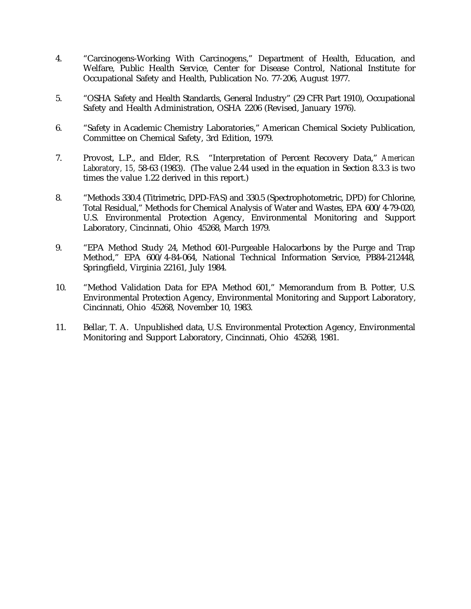- 4. "Carcinogens-Working With Carcinogens," Department of Health, Education, and Welfare, Public Health Service, Center for Disease Control, National Institute for Occupational Safety and Health, Publication No. 77-206, August 1977.
- 5. "OSHA Safety and Health Standards, General Industry" (29 CFR Part 1910), Occupational Safety and Health Administration, OSHA 2206 (Revised, January 1976).
- 6. "Safety in Academic Chemistry Laboratories," American Chemical Society Publication, Committee on Chemical Safety, 3rd Edition, 1979.
- 7. Provost, L.P., and Elder, R.S. "Interpretation of Percent Recovery Data," *American Laboratory, 15,* 58-63 (1983). (The value 2.44 used in the equation in Section 8.3.3 is two times the value 1.22 derived in this report.)
- 8. "Methods 330.4 (Titrimetric, DPD-FAS) and 330.5 (Spectrophotometric, DPD) for Chlorine, Total Residual," Methods for Chemical Analysis of Water and Wastes, EPA 600/4-79-020, U.S. Environmental Protection Agency, Environmental Monitoring and Support Laboratory, Cincinnati, Ohio 45268, March 1979.
- 9. "EPA Method Study 24, Method 601-Purgeable Halocarbons by the Purge and Trap Method," EPA 600/4-84-064, National Technical Information Service, PB84-212448, Springfield, Virginia 22161, July 1984.
- 10. "Method Validation Data for EPA Method 601," Memorandum from B. Potter, U.S. Environmental Protection Agency, Environmental Monitoring and Support Laboratory, Cincinnati, Ohio 45268, November 10, 1983.
- 11. Bellar, T. A. Unpublished data, U.S. Environmental Protection Agency, Environmental Monitoring and Support Laboratory, Cincinnati, Ohio 45268, 1981.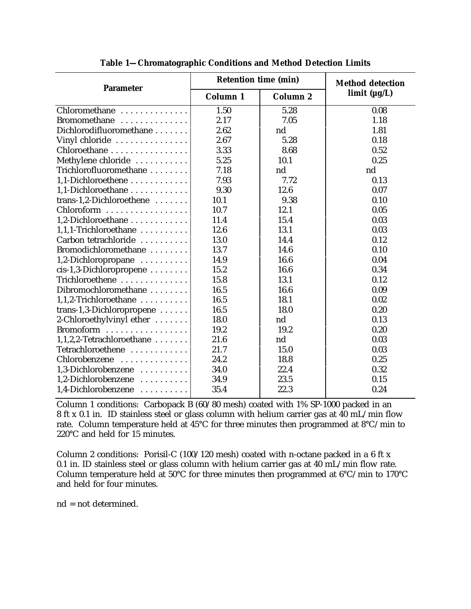| <b>Parameter</b>          | <b>Retention time (min)</b> | <b>Method detection</b> |              |
|---------------------------|-----------------------------|-------------------------|--------------|
|                           | Column 1                    | Column 2                | limit (µg/L) |
| Chloromethane             | 1.50                        | 5.28                    | 0.08         |
| Bromomethane              | 2.17                        | 7.05                    | 1.18         |
| Dichlorodifluoromethane   | 2.62                        | nd                      | 1.81         |
| Vinyl chloride            | 2.67                        | 5.28                    | 0.18         |
| Chloroethane              | 3.33                        | 8.68                    | 0.52         |
| Methylene chloride        | 5.25                        | 10.1                    | 0.25         |
| Trichlorofluoromethane    | 7.18                        | nd                      | nd           |
| 1,1-Dichloroethene        | 7.93                        | 7.72                    | 0.13         |
| 1,1-Dichloroethane        | 9.30                        | 12.6                    | 0.07         |
| trans-1,2-Dichloroethene  | 10.1                        | 9.38                    | 0.10         |
| Chloroform                | 10.7                        | 12.1                    | 0.05         |
| 1,2-Dichloroethane        | 11.4                        | 15.4                    | 0.03         |
| 1,1,1-Trichloroethane     | 12.6                        | 13.1                    | 0.03         |
| Carbon tetrachloride      | 13.0                        | 14.4                    | 0.12         |
| Bromodichloromethane      | 13.7                        | 14.6                    | 0.10         |
| 1,2-Dichloropropane       | 14.9                        | 16.6                    | 0.04         |
| cis-1,3-Dichloropropene   | 15.2                        | 16.6                    | 0.34         |
| Trichloroethene           | 15.8                        | 13.1                    | 0.12         |
| Dibromochloromethane      | 16.5                        | 16.6                    | 0.09         |
| 1,1,2-Trichloroethane     | 16.5                        | 18.1                    | 0.02         |
| trans-1,3-Dichloropropene | 16.5                        | 18.0                    | 0.20         |
| 2-Chloroethylvinyl ether  | 18.0                        | nd                      | 0.13         |
| Bromoform                 | 19.2                        | 19.2                    | 0.20         |
| 1,1,2,2-Tetrachloroethane | 21.6                        | nd                      | 0.03         |
| Tetrachloroethene         | 21.7                        | 15.0                    | 0.03         |
| Chlorobenzene             | 24.2                        | 18.8                    | 0.25         |
| 1,3-Dichlorobenzene       | 34.0                        | 22.4                    | 0.32         |
| 1,2-Dichlorobenzene       | 34.9                        | 23.5                    | 0.15         |
| 1,4-Dichlorobenzene       | 35.4                        | 22.3                    | 0.24         |

**Table 1—Chromatographic Conditions and Method Detection Limits**

Column 1 conditions: Carbopack B (60/80 mesh) coated with 1% SP-1000 packed in an 8 ft x 0.1 in. ID stainless steel or glass column with helium carrier gas at 40 mL/min flow rate. Column temperature held at 45°C for three minutes then programmed at 8°C/min to 220°C and held for 15 minutes.

Column 2 conditions: Porisil-C (100/120 mesh) coated with n-octane packed in a 6 ft x 0.1 in. ID stainless steel or glass column with helium carrier gas at 40 mL/min flow rate. Column temperature held at 50°C for three minutes then programmed at 6°C/min to 170°C and held for four minutes.

nd = not determined.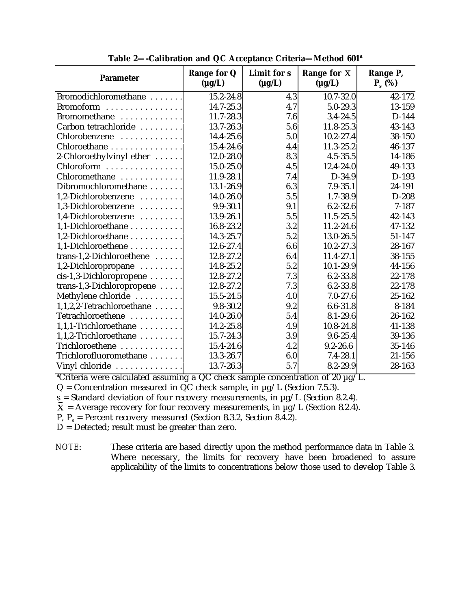| <b>Parameter</b>             | Range for Q<br>$(\mu g/L)$ | Limit for s<br>$(\mu g/L)$ | Range for X<br>$(\mu g/L)$ | Range P,<br>$P_s$ (%) |
|------------------------------|----------------------------|----------------------------|----------------------------|-----------------------|
| Bromodichloromethane         | 15.2-24.8                  | 4.3                        | $10.7 - 32.0$              | 42-172                |
| Bromoform                    | 14.7-25.3                  | 4.7                        | 5.0-29.3                   | 13-159                |
| Bromomethane                 | 11.7-28.3                  | 7.6                        | $3.4 - 24.5$               | D-144                 |
| Carbon tetrachloride         | 13.7-26.3                  | 5.6                        | 11.8-25.3                  | 43-143                |
| Chlorobenzene                | 14.4-25.6                  | 5.0                        | $10.2 - 27.4$              | 38-150                |
| Chloroethane                 | 15.4-24.6                  | 4.4                        | 11.3-25.2                  | 46-137                |
| 2-Chloroethylvinyl ether     | $12.0 - 28.0$              | 8.3                        | $4.5 - 35.5$               | 14-186                |
| Chloroform                   | 15.0-25.0                  | 4.5                        | 12.4-24.0                  | 49-133                |
| Chloromethane                | 11.9-28.1                  | 7.4                        | D-34.9                     | D-193                 |
| Dibromochloromethane         | 13.1-26.9                  | 6.3                        | $7.9 - 35.1$               | 24-191                |
| 1,2-Dichlorobenzene          | 14.0-26.0                  | 5.5                        | $1.7 - 38.9$               | $D-208$               |
| 1,3-Dichlorobenzene          | $9.9 - 30.1$               | 9.1                        | $6.2 - 32.6$               | $7 - 187$             |
| 1,4-Dichlorobenzene          | 13.9-26.1                  | 5.5                        | $11.5 - 25.5$              | 42-143                |
| 1,1-Dichloroethane           | 16.8-23.2                  | 3.2                        | 11.2-24.6                  | 47-132                |
| 1,2-Dichloroethane           | 14.3-25.7                  | 5.2                        | 13.0-26.5                  | 51-147                |
| 1,1-Dichloroethene           | 12.6-27.4                  | 6.6                        | $10.2 - 27.3$              | 28-167                |
| trans-1,2-Dichloroethene     | 12.8-27.2                  | 6.4                        | 11.4-27.1                  | 38-155                |
| 1,2-Dichloropropane          | 14.8-25.2                  | 5.2                        | $10.1 - 29.9$              | 44-156                |
| cis-1,3-Dichloropropene      | 12.8-27.2                  | 7.3                        | $6.2 - 33.8$               | 22-178                |
| trans-1,3-Dichloropropene    | 12.8-27.2                  | 7.3                        | $6.2 - 33.8$               | 22-178                |
| Methylene chloride           | 15.5-24.5                  | 4.0                        | $7.0 - 27.6$               | 25-162                |
| $1,1,2,2$ -Tetrachloroethane | $9.8 - 30.2$               | 9.2                        | $6.6 - 31.8$               | 8-184                 |
| Tetrachloroethene            | 14.0-26.0                  | 5.4                        | $8.1 - 29.6$               | 26-162                |
| 1,1,1-Trichloroethane        | 14.2-25.8                  | 4.9                        | 10.8-24.8                  | 41-138                |
| 1,1,2-Trichloroethane        | 15.7-24.3                  | 3.9                        | $9.6 - 25.4$               | 39-136                |
| Trichloroethene              | 15.4-24.6                  | 4.2                        | $9.2 - 26.6$               | 35-146                |
| Trichlorofluoromethane       | 13.3-26.7                  | 6.0                        | $7.4 - 28.1$               | 21-156                |
| Vinyl chloride               | 13.7-26.3                  | 5.7                        | 8.2-29.9                   | 28-163                |

**Table 2—-Calibration and QC Acceptance Criteria—Method 601<sup>a</sup>**

<sup>a</sup>Criteria were calculated assuming a QC check sample concentration of 20  $\mu$ g/L.

 $Q =$  Concentration measured in  $\overline{QC}$  check sample, in  $\mu g/L$  (Section 7.5.3).

 $s =$  Standard deviation of four recovery measurements, in  $\mu$ g/L (Section 8.2.4).

 $\overline{X}$  = Average recovery for four recovery measurements, in  $\mu$ g/L (Section 8.2.4).

P,  $P_s$  = Percent recovery measured (Section 8.3.2, Section 8.4.2).

 $D =$  Detected; result must be greater than zero.

*NOTE*: These criteria are based directly upon the method performance data in Table 3. Where necessary, the limits for recovery have been broadened to assure applicability of the limits to concentrations below those used to develop Table 3.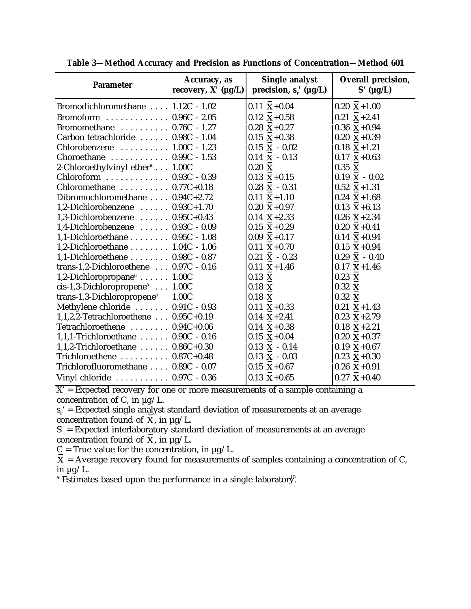| <b>Parameter</b>                                        | Accuracy, as<br>recovery, $X'$ ( $\mu g/L$ ) | <b>Single analyst</b><br>precision, $s_r'$ ( $\mu g/L$ ) | Overall precision,<br>$S'$ ( $\mu$ g/L) |
|---------------------------------------------------------|----------------------------------------------|----------------------------------------------------------|-----------------------------------------|
| Bromodichloromethane  1.12C - 1.02                      |                                              | $0.11 \text{ X} + 0.04$                                  | $0.20 \text{ X} + 1.00$                 |
| Bromoform $\ldots \ldots \ldots \ldots$   0.96C - 2.05  |                                              | $0.12 \text{ X} + 0.58$                                  | $0.21 X+2.41$                           |
| Bromomethane $\ldots \ldots \ldots \ldots$ 0.76C - 1.27 |                                              | $0.28 \text{ X} + 0.27$                                  | $0.36 \text{ X} + 0.94$                 |
| Carbon tetrachloride    0.98C - 1.04                    |                                              | $0.15 \text{ X} + 0.38$                                  | $0.20 \text{ X} + 0.39$                 |
| Chlorobenzene $\ldots \ldots \ldots$ . [1.00C - 1.23]   |                                              | $0.15$ X - $0.02$                                        | $0.18$ X + 1.21                         |
| Choroethane $\ldots \ldots \ldots \ldots$ 0.99C - 1.53  |                                              | $0.14$ X - $0.13$                                        | $0.17$ X+0.63                           |
| 2-Chloroethylvinyl ether <sup>a</sup> 1.00C             |                                              | $0.20\text{ X}$                                          | $0.35\text{ X}$                         |
| Chloroform $\ldots \ldots \ldots \ldots$   0.93C - 0.39 |                                              | $0.13 \text{ X} + 0.15$                                  | $0.19$ X - $0.02$                       |
| Chloromethane $\ldots \ldots \ldots$   0.77C+0.18       |                                              | $0.28$ X - $0.31$                                        | $0.52$ X+1.31                           |
| Dibromochloromethane $\ldots$   0.94C+2.72              |                                              | $0.11$ X+1.10                                            | $0.24$ X+1.68                           |
| 1,2-Dichlorobenzene $\ldots \ldots$ 0.93C+1.70          |                                              | $0.20 \text{ X} + 0.97$                                  | $0.13$ X+6.13                           |
| 1,3-Dichlorobenzene $\ldots \ldots$ 0.95C+0.43          |                                              | $0.14 \text{ X}+2.33$                                    | $0.26 \text{ X} + 2.34$                 |
| 1,4-Dichlorobenzene $\ldots \ldots$ 0.93C - 0.09        |                                              | $0.15 X+0.29$                                            | $0.20 \text{ X} + 0.41$                 |
| 1,1-Dichloroethane 0.95C - 1.08                         |                                              | $0.09 \text{ X} + 0.17$                                  | $0.14 \text{ X} + 0.94$                 |
| 1,2-Dichloroethane $\ldots \ldots$ . $ 1.04C - 1.06 $   |                                              | $0.11 \text{ X} + 0.70$                                  | $0.15 \text{ X} + 0.94$                 |
| 1,1-Dichloroethene $\ldots \ldots$ . 0.98C - 0.87       |                                              | $0.21$ X - $0.23$                                        | $0.29$ X - $0.40$                       |
| trans-1,2-Dichloroethene $\ldots$ 0.97C - 0.16          |                                              | $0.11$ X+1.46                                            | $0.17$ X + 1.46                         |
| 1,2-Dichloropropane <sup>a</sup>   1.00C                |                                              | $0.13$ X                                                 | $0.23 \times$                           |
| $cis-1,3-Dichloropropenea$   1.00C                      |                                              | $0.18$ X                                                 | $0.32$ X                                |
| trans-1,3-Dichloropropene <sup>a</sup>                  | 1.00C                                        | $0.18\,$ X                                               | $0.32\,$ X                              |
| Methylene chloride $\ldots \ldots$ . $ 0.91C - 0.93 $   |                                              | $0.11 \text{ X} + 0.33$                                  | $0.21$ X+1.43                           |
| 1,1,2,2-Tetrachloroethene $\ldots$ 0.95C+0.19           |                                              | $0.14$ X + 2.41                                          | $0.23$ X+2.79                           |
| Tetrachloroethene $\ldots \ldots \ldots$ 0.94C+0.06     |                                              | $0.14 \text{ X} + 0.38$                                  | $0.18$ X + 2.21                         |
| 1,1,1-Trichloroethane $\ldots \ldots$   0.90C - 0.16    |                                              | $0.15 \text{ X} + 0.04$                                  | $0.20 \text{ X} + 0.37$                 |
| 1,1,2-Trichloroethane $\ldots \ldots$ $ 0.86C+0.30$     |                                              | $0.13$ X - $0.14$                                        | $0.19 \text{ X} + 0.67$                 |
| Trichloroethene $\ldots \ldots \ldots$ 0.87C+0.48       |                                              | $0.13$ X - $0.03$                                        | $0.23$ X+ $0.30$                        |
| Trichlorofluoromethane    0.89C - 0.07                  |                                              | $0.15 X+0.67$                                            | $0.26$ X+ $0.91$                        |
|                                                         |                                              | $0.13 \text{ X} + 0.65$                                  | $0.27$ X+0.40                           |

**Table 3—Method Accuracy and Precision as Functions of Concentration—Method 601**

 $X'$  = Expected recovery for one or more measurements of a sample containing a concentration of C, in  $\mu$ g/L.

 $s_r$  = Expected single analyst standard deviation of measurements at an average concentration found of  $\overrightarrow{\mathbf{X}}$ , in  $\mu$ g/L.

S*'* = Expected interlaboratory standard deviation of measurements at an average concentration found of  $X$ , in  $\mu$ g/L.

 $C$  = True value for the concentration, in  $\mu$ g/L.

 = Average recovery found for measurements of samples containing a concentration of C, in  $\mu$ g/L.

 $^{\circ}$  Estimates based upon the performance in a single laborator $\psi$ .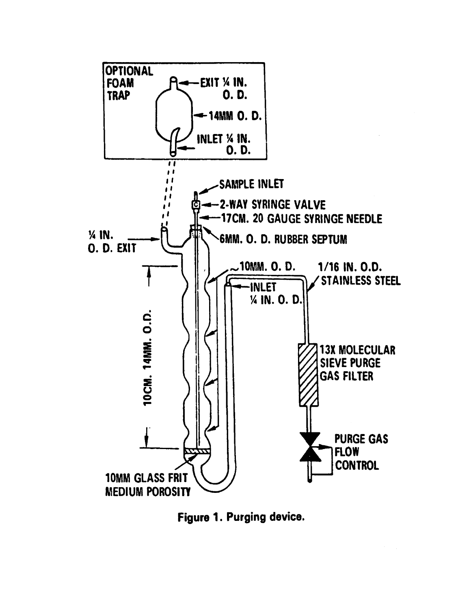

Figure 1. Purging device.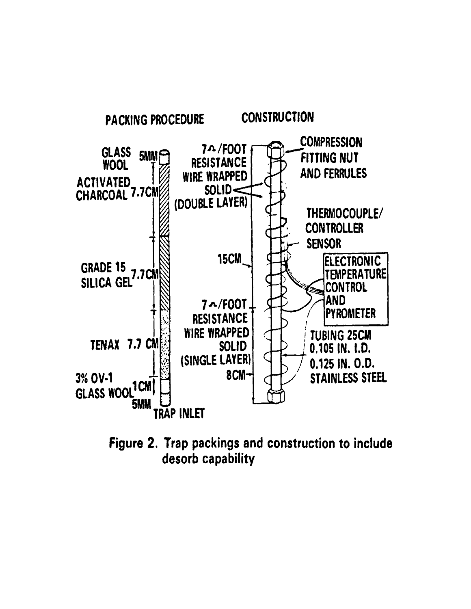

Figure 2. Trap packings and construction to include desorb capability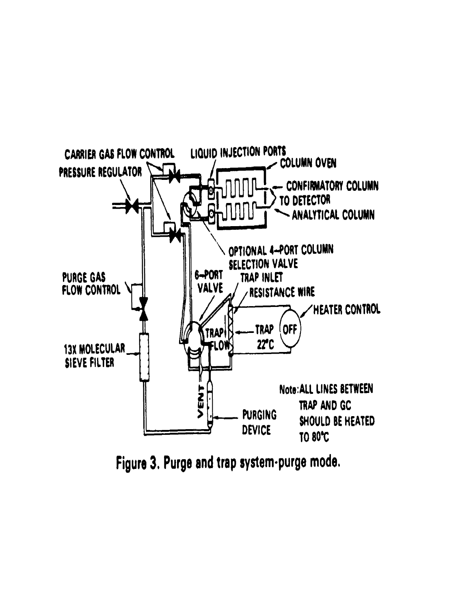

Figure 3. Purge and trap system-purge mode.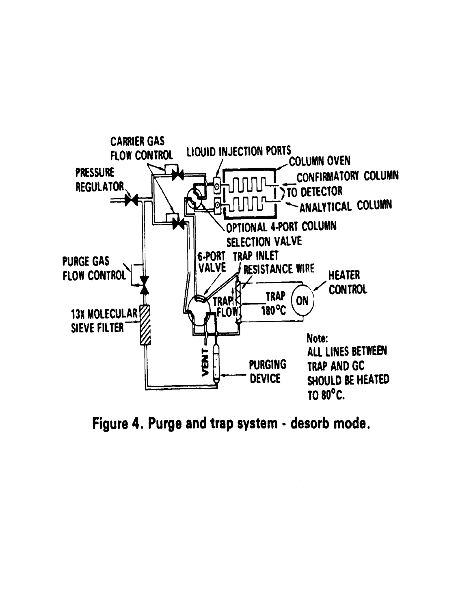

Figure 4. Purge and trap system - desorb mode.